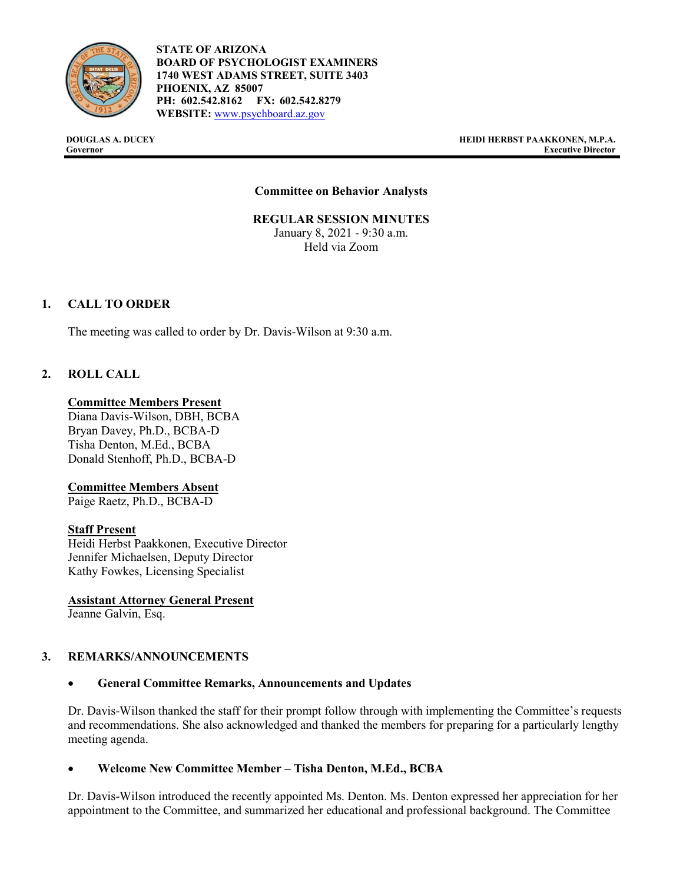

**STATE OF ARIZONA BOARD OF PSYCHOLOGIST EXAMINERS 1740 WEST ADAMS STREET, SUITE 3403 PHOENIX, AZ 85007 PH: 602.542.8162 FX: 602.542.8279 WEBSITE:** [www.psychboard.az.gov](http://www.psychboard.az.gov/) 

**DOUGLAS A. DUCEY HEIDI HERBST PAAKKONEN, M.P.A. Governor Executive Director**

### **Committee on Behavior Analysts**

**REGULAR SESSION MINUTES** January 8, 2021 - 9:30 a.m. Held via Zoom

## **1. CALL TO ORDER**

The meeting was called to order by Dr. Davis-Wilson at 9:30 a.m.

## **2. ROLL CALL**

#### **Committee Members Present**

Diana Davis-Wilson, DBH, BCBA Bryan Davey, Ph.D., BCBA-D Tisha Denton, M.Ed., BCBA Donald Stenhoff, Ph.D., BCBA-D

#### **Committee Members Absent**

Paige Raetz, Ph.D., BCBA-D

### **Staff Present**

Heidi Herbst Paakkonen, Executive Director Jennifer Michaelsen, Deputy Director Kathy Fowkes, Licensing Specialist

**Assistant Attorney General Present** Jeanne Galvin, Esq.

### **3. REMARKS/ANNOUNCEMENTS**

### • **General Committee Remarks, Announcements and Updates**

Dr. Davis-Wilson thanked the staff for their prompt follow through with implementing the Committee's requests and recommendations. She also acknowledged and thanked the members for preparing for a particularly lengthy meeting agenda.

### • **Welcome New Committee Member – Tisha Denton, M.Ed., BCBA**

Dr. Davis-Wilson introduced the recently appointed Ms. Denton. Ms. Denton expressed her appreciation for her appointment to the Committee, and summarized her educational and professional background. The Committee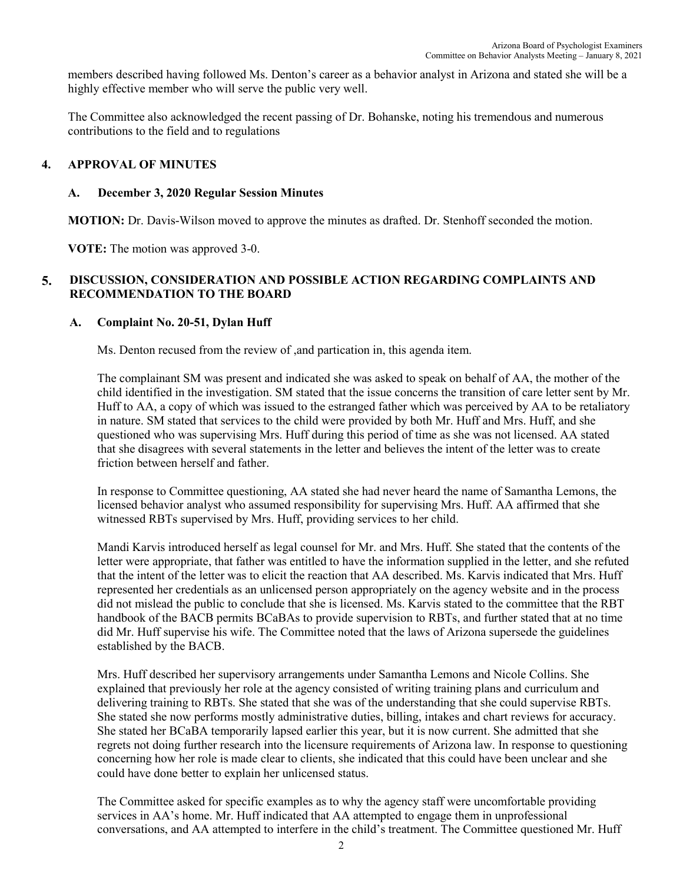members described having followed Ms. Denton's career as a behavior analyst in Arizona and stated she will be a highly effective member who will serve the public very well.

The Committee also acknowledged the recent passing of Dr. Bohanske, noting his tremendous and numerous contributions to the field and to regulations

#### **4. APPROVAL OF MINUTES**

#### **A. December 3, 2020 Regular Session Minutes**

**MOTION:** Dr. Davis-Wilson moved to approve the minutes as drafted. Dr. Stenhoff seconded the motion.

**VOTE:** The motion was approved 3-0.

### **5. DISCUSSION, CONSIDERATION AND POSSIBLE ACTION REGARDING COMPLAINTS AND RECOMMENDATION TO THE BOARD**

### **A. Complaint No. 20-51, Dylan Huff**

Ms. Denton recused from the review of ,and partication in, this agenda item.

The complainant SM was present and indicated she was asked to speak on behalf of AA, the mother of the child identified in the investigation. SM stated that the issue concerns the transition of care letter sent by Mr. Huff to AA, a copy of which was issued to the estranged father which was perceived by AA to be retaliatory in nature. SM stated that services to the child were provided by both Mr. Huff and Mrs. Huff, and she questioned who was supervising Mrs. Huff during this period of time as she was not licensed. AA stated that she disagrees with several statements in the letter and believes the intent of the letter was to create friction between herself and father.

In response to Committee questioning, AA stated she had never heard the name of Samantha Lemons, the licensed behavior analyst who assumed responsibility for supervising Mrs. Huff. AA affirmed that she witnessed RBTs supervised by Mrs. Huff, providing services to her child.

Mandi Karvis introduced herself as legal counsel for Mr. and Mrs. Huff. She stated that the contents of the letter were appropriate, that father was entitled to have the information supplied in the letter, and she refuted that the intent of the letter was to elicit the reaction that AA described. Ms. Karvis indicated that Mrs. Huff represented her credentials as an unlicensed person appropriately on the agency website and in the process did not mislead the public to conclude that she is licensed. Ms. Karvis stated to the committee that the RBT handbook of the BACB permits BCaBAs to provide supervision to RBTs, and further stated that at no time did Mr. Huff supervise his wife. The Committee noted that the laws of Arizona supersede the guidelines established by the BACB.

Mrs. Huff described her supervisory arrangements under Samantha Lemons and Nicole Collins. She explained that previously her role at the agency consisted of writing training plans and curriculum and delivering training to RBTs. She stated that she was of the understanding that she could supervise RBTs. She stated she now performs mostly administrative duties, billing, intakes and chart reviews for accuracy. She stated her BCaBA temporarily lapsed earlier this year, but it is now current. She admitted that she regrets not doing further research into the licensure requirements of Arizona law. In response to questioning concerning how her role is made clear to clients, she indicated that this could have been unclear and she could have done better to explain her unlicensed status.

The Committee asked for specific examples as to why the agency staff were uncomfortable providing services in AA's home. Mr. Huff indicated that AA attempted to engage them in unprofessional conversations, and AA attempted to interfere in the child's treatment. The Committee questioned Mr. Huff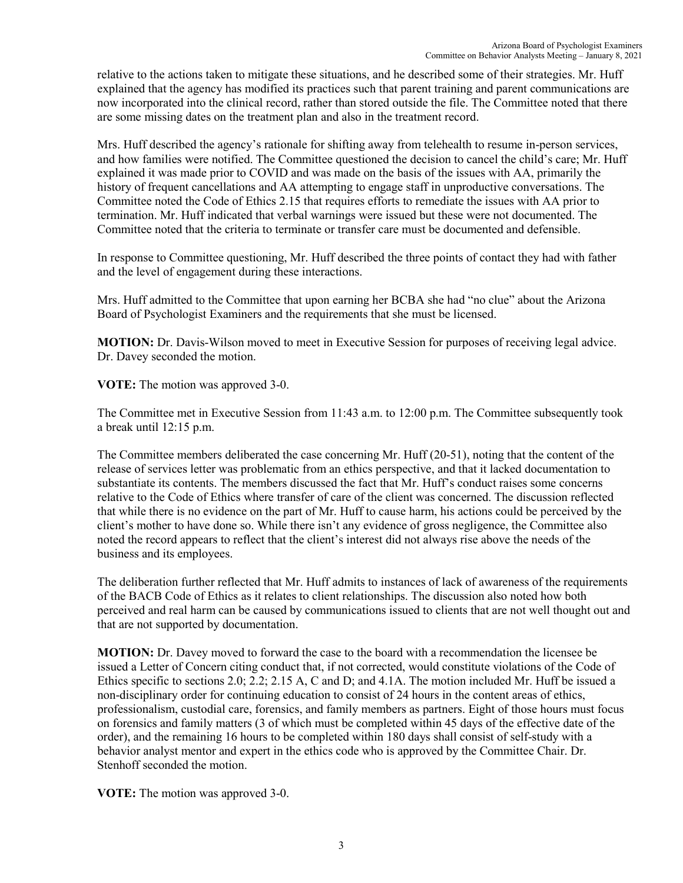relative to the actions taken to mitigate these situations, and he described some of their strategies. Mr. Huff explained that the agency has modified its practices such that parent training and parent communications are now incorporated into the clinical record, rather than stored outside the file. The Committee noted that there are some missing dates on the treatment plan and also in the treatment record.

Mrs. Huff described the agency's rationale for shifting away from telehealth to resume in-person services, and how families were notified. The Committee questioned the decision to cancel the child's care; Mr. Huff explained it was made prior to COVID and was made on the basis of the issues with AA, primarily the history of frequent cancellations and AA attempting to engage staff in unproductive conversations. The Committee noted the Code of Ethics 2.15 that requires efforts to remediate the issues with AA prior to termination. Mr. Huff indicated that verbal warnings were issued but these were not documented. The Committee noted that the criteria to terminate or transfer care must be documented and defensible.

In response to Committee questioning, Mr. Huff described the three points of contact they had with father and the level of engagement during these interactions.

Mrs. Huff admitted to the Committee that upon earning her BCBA she had "no clue" about the Arizona Board of Psychologist Examiners and the requirements that she must be licensed.

**MOTION:** Dr. Davis-Wilson moved to meet in Executive Session for purposes of receiving legal advice. Dr. Davey seconded the motion.

**VOTE:** The motion was approved 3-0.

The Committee met in Executive Session from 11:43 a.m. to 12:00 p.m. The Committee subsequently took a break until 12:15 p.m.

The Committee members deliberated the case concerning Mr. Huff (20-51), noting that the content of the release of services letter was problematic from an ethics perspective, and that it lacked documentation to substantiate its contents. The members discussed the fact that Mr. Huff's conduct raises some concerns relative to the Code of Ethics where transfer of care of the client was concerned. The discussion reflected that while there is no evidence on the part of Mr. Huff to cause harm, his actions could be perceived by the client's mother to have done so. While there isn't any evidence of gross negligence, the Committee also noted the record appears to reflect that the client's interest did not always rise above the needs of the business and its employees.

The deliberation further reflected that Mr. Huff admits to instances of lack of awareness of the requirements of the BACB Code of Ethics as it relates to client relationships. The discussion also noted how both perceived and real harm can be caused by communications issued to clients that are not well thought out and that are not supported by documentation.

**MOTION:** Dr. Davey moved to forward the case to the board with a recommendation the licensee be issued a Letter of Concern citing conduct that, if not corrected, would constitute violations of the Code of Ethics specific to sections 2.0; 2.2; 2.15 A, C and D; and 4.1A. The motion included Mr. Huff be issued a non-disciplinary order for continuing education to consist of 24 hours in the content areas of ethics, professionalism, custodial care, forensics, and family members as partners. Eight of those hours must focus on forensics and family matters (3 of which must be completed within 45 days of the effective date of the order), and the remaining 16 hours to be completed within 180 days shall consist of self-study with a behavior analyst mentor and expert in the ethics code who is approved by the Committee Chair. Dr. Stenhoff seconded the motion.

**VOTE:** The motion was approved 3-0.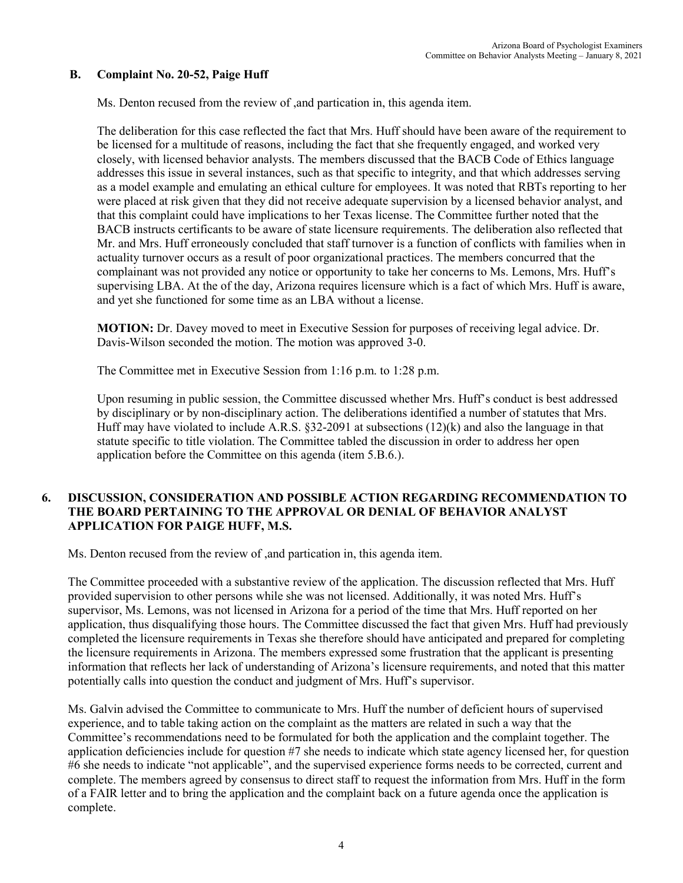## **B. Complaint No. 20-52, Paige Huff**

Ms. Denton recused from the review of ,and partication in, this agenda item.

The deliberation for this case reflected the fact that Mrs. Huff should have been aware of the requirement to be licensed for a multitude of reasons, including the fact that she frequently engaged, and worked very closely, with licensed behavior analysts. The members discussed that the BACB Code of Ethics language addresses this issue in several instances, such as that specific to integrity, and that which addresses serving as a model example and emulating an ethical culture for employees. It was noted that RBTs reporting to her were placed at risk given that they did not receive adequate supervision by a licensed behavior analyst, and that this complaint could have implications to her Texas license. The Committee further noted that the BACB instructs certificants to be aware of state licensure requirements. The deliberation also reflected that Mr. and Mrs. Huff erroneously concluded that staff turnover is a function of conflicts with families when in actuality turnover occurs as a result of poor organizational practices. The members concurred that the complainant was not provided any notice or opportunity to take her concerns to Ms. Lemons, Mrs. Huff's supervising LBA. At the of the day, Arizona requires licensure which is a fact of which Mrs. Huff is aware, and yet she functioned for some time as an LBA without a license.

**MOTION:** Dr. Davey moved to meet in Executive Session for purposes of receiving legal advice. Dr. Davis-Wilson seconded the motion. The motion was approved 3-0.

The Committee met in Executive Session from 1:16 p.m. to 1:28 p.m.

Upon resuming in public session, the Committee discussed whether Mrs. Huff's conduct is best addressed by disciplinary or by non-disciplinary action. The deliberations identified a number of statutes that Mrs. Huff may have violated to include A.R.S. §32-2091 at subsections (12)(k) and also the language in that statute specific to title violation. The Committee tabled the discussion in order to address her open application before the Committee on this agenda (item 5.B.6.).

### **6. DISCUSSION, CONSIDERATION AND POSSIBLE ACTION REGARDING RECOMMENDATION TO THE BOARD PERTAINING TO THE APPROVAL OR DENIAL OF BEHAVIOR ANALYST APPLICATION FOR PAIGE HUFF, M.S.**

Ms. Denton recused from the review of ,and partication in, this agenda item.

The Committee proceeded with a substantive review of the application. The discussion reflected that Mrs. Huff provided supervision to other persons while she was not licensed. Additionally, it was noted Mrs. Huff's supervisor, Ms. Lemons, was not licensed in Arizona for a period of the time that Mrs. Huff reported on her application, thus disqualifying those hours. The Committee discussed the fact that given Mrs. Huff had previously completed the licensure requirements in Texas she therefore should have anticipated and prepared for completing the licensure requirements in Arizona. The members expressed some frustration that the applicant is presenting information that reflects her lack of understanding of Arizona's licensure requirements, and noted that this matter potentially calls into question the conduct and judgment of Mrs. Huff's supervisor.

Ms. Galvin advised the Committee to communicate to Mrs. Huff the number of deficient hours of supervised experience, and to table taking action on the complaint as the matters are related in such a way that the Committee's recommendations need to be formulated for both the application and the complaint together. The application deficiencies include for question #7 she needs to indicate which state agency licensed her, for question #6 she needs to indicate "not applicable", and the supervised experience forms needs to be corrected, current and complete. The members agreed by consensus to direct staff to request the information from Mrs. Huff in the form of a FAIR letter and to bring the application and the complaint back on a future agenda once the application is complete.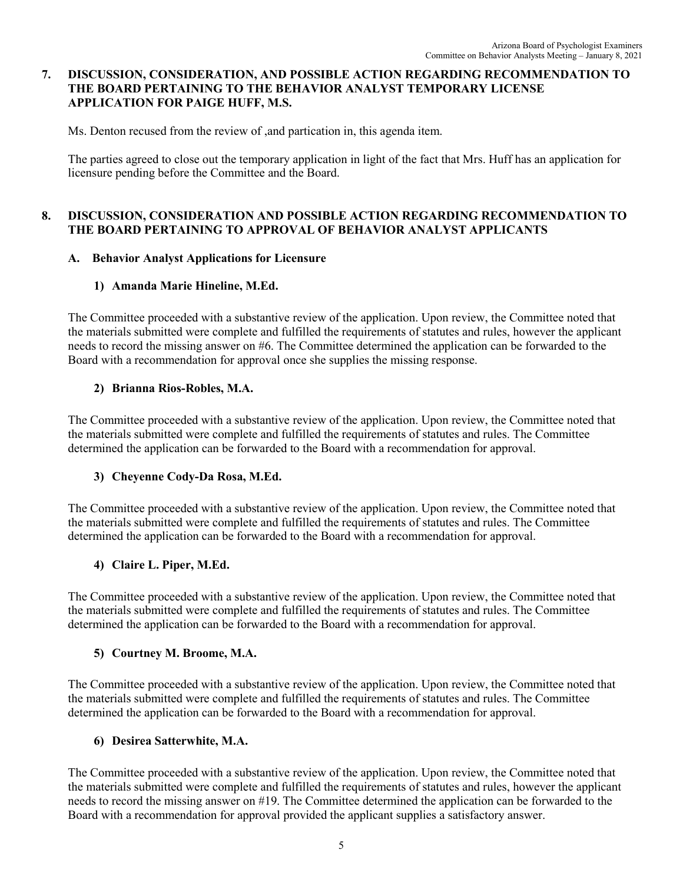## **7. DISCUSSION, CONSIDERATION, AND POSSIBLE ACTION REGARDING RECOMMENDATION TO THE BOARD PERTAINING TO THE BEHAVIOR ANALYST TEMPORARY LICENSE APPLICATION FOR PAIGE HUFF, M.S.**

Ms. Denton recused from the review of ,and partication in, this agenda item.

The parties agreed to close out the temporary application in light of the fact that Mrs. Huff has an application for licensure pending before the Committee and the Board.

## **8. DISCUSSION, CONSIDERATION AND POSSIBLE ACTION REGARDING RECOMMENDATION TO THE BOARD PERTAINING TO APPROVAL OF BEHAVIOR ANALYST APPLICANTS**

## **A. Behavior Analyst Applications for Licensure**

## **1) Amanda Marie Hineline, M.Ed.**

The Committee proceeded with a substantive review of the application. Upon review, the Committee noted that the materials submitted were complete and fulfilled the requirements of statutes and rules, however the applicant needs to record the missing answer on #6. The Committee determined the application can be forwarded to the Board with a recommendation for approval once she supplies the missing response.

## **2) Brianna Rios-Robles, M.A.**

The Committee proceeded with a substantive review of the application. Upon review, the Committee noted that the materials submitted were complete and fulfilled the requirements of statutes and rules. The Committee determined the application can be forwarded to the Board with a recommendation for approval.

### **3) Cheyenne Cody-Da Rosa, M.Ed.**

The Committee proceeded with a substantive review of the application. Upon review, the Committee noted that the materials submitted were complete and fulfilled the requirements of statutes and rules. The Committee determined the application can be forwarded to the Board with a recommendation for approval.

## **4) Claire L. Piper, M.Ed.**

The Committee proceeded with a substantive review of the application. Upon review, the Committee noted that the materials submitted were complete and fulfilled the requirements of statutes and rules. The Committee determined the application can be forwarded to the Board with a recommendation for approval.

## **5) Courtney M. Broome, M.A.**

The Committee proceeded with a substantive review of the application. Upon review, the Committee noted that the materials submitted were complete and fulfilled the requirements of statutes and rules. The Committee determined the application can be forwarded to the Board with a recommendation for approval.

### **6) Desirea Satterwhite, M.A.**

The Committee proceeded with a substantive review of the application. Upon review, the Committee noted that the materials submitted were complete and fulfilled the requirements of statutes and rules, however the applicant needs to record the missing answer on #19. The Committee determined the application can be forwarded to the Board with a recommendation for approval provided the applicant supplies a satisfactory answer.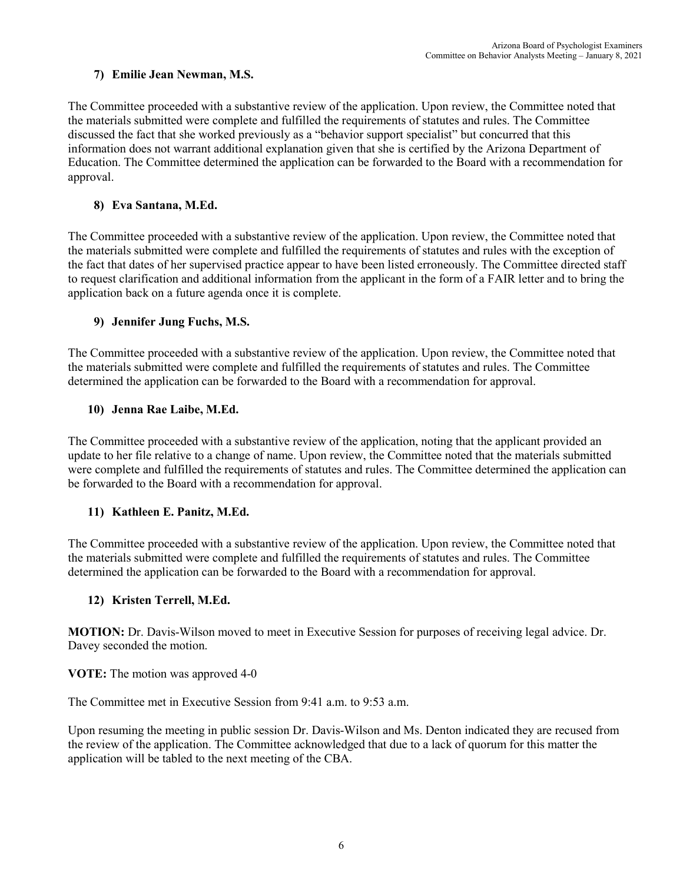## **7) Emilie Jean Newman, M.S.**

The Committee proceeded with a substantive review of the application. Upon review, the Committee noted that the materials submitted were complete and fulfilled the requirements of statutes and rules. The Committee discussed the fact that she worked previously as a "behavior support specialist" but concurred that this information does not warrant additional explanation given that she is certified by the Arizona Department of Education. The Committee determined the application can be forwarded to the Board with a recommendation for approval.

## **8) Eva Santana, M.Ed.**

The Committee proceeded with a substantive review of the application. Upon review, the Committee noted that the materials submitted were complete and fulfilled the requirements of statutes and rules with the exception of the fact that dates of her supervised practice appear to have been listed erroneously. The Committee directed staff to request clarification and additional information from the applicant in the form of a FAIR letter and to bring the application back on a future agenda once it is complete.

## **9) Jennifer Jung Fuchs, M.S.**

The Committee proceeded with a substantive review of the application. Upon review, the Committee noted that the materials submitted were complete and fulfilled the requirements of statutes and rules. The Committee determined the application can be forwarded to the Board with a recommendation for approval.

## **10) Jenna Rae Laibe, M.Ed.**

The Committee proceeded with a substantive review of the application, noting that the applicant provided an update to her file relative to a change of name. Upon review, the Committee noted that the materials submitted were complete and fulfilled the requirements of statutes and rules. The Committee determined the application can be forwarded to the Board with a recommendation for approval.

## **11) Kathleen E. Panitz, M.Ed.**

The Committee proceeded with a substantive review of the application. Upon review, the Committee noted that the materials submitted were complete and fulfilled the requirements of statutes and rules. The Committee determined the application can be forwarded to the Board with a recommendation for approval.

## **12) Kristen Terrell, M.Ed.**

**MOTION:** Dr. Davis-Wilson moved to meet in Executive Session for purposes of receiving legal advice. Dr. Davey seconded the motion.

**VOTE:** The motion was approved 4-0

The Committee met in Executive Session from 9:41 a.m. to 9:53 a.m.

Upon resuming the meeting in public session Dr. Davis-Wilson and Ms. Denton indicated they are recused from the review of the application. The Committee acknowledged that due to a lack of quorum for this matter the application will be tabled to the next meeting of the CBA.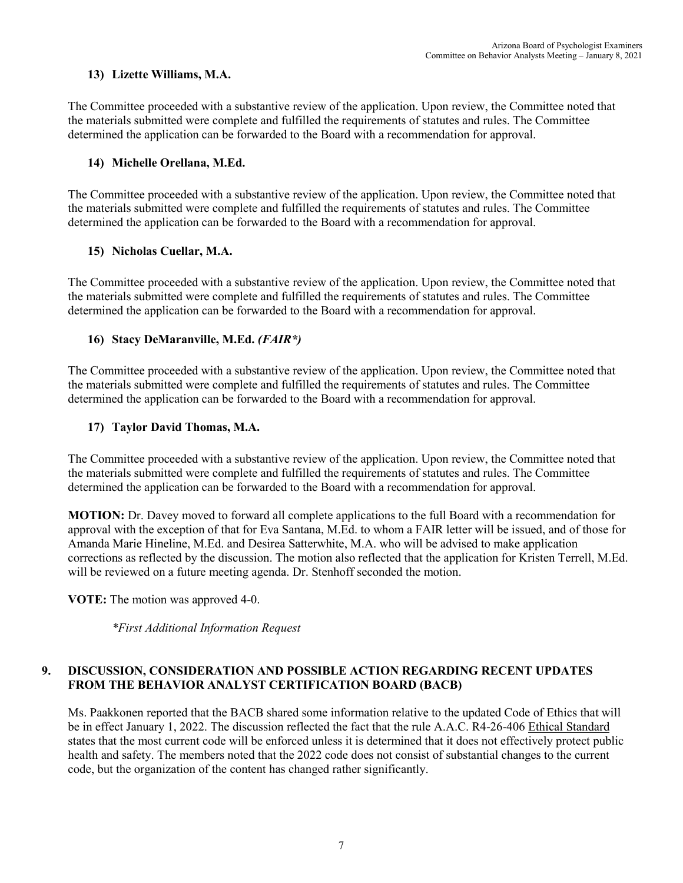## **13) Lizette Williams, M.A.**

The Committee proceeded with a substantive review of the application. Upon review, the Committee noted that the materials submitted were complete and fulfilled the requirements of statutes and rules. The Committee determined the application can be forwarded to the Board with a recommendation for approval.

## **14) Michelle Orellana, M.Ed.**

The Committee proceeded with a substantive review of the application. Upon review, the Committee noted that the materials submitted were complete and fulfilled the requirements of statutes and rules. The Committee determined the application can be forwarded to the Board with a recommendation for approval.

## **15) Nicholas Cuellar, M.A.**

The Committee proceeded with a substantive review of the application. Upon review, the Committee noted that the materials submitted were complete and fulfilled the requirements of statutes and rules. The Committee determined the application can be forwarded to the Board with a recommendation for approval.

## **16) Stacy DeMaranville, M.Ed.** *(FAIR\*)*

The Committee proceeded with a substantive review of the application. Upon review, the Committee noted that the materials submitted were complete and fulfilled the requirements of statutes and rules. The Committee determined the application can be forwarded to the Board with a recommendation for approval.

## **17) Taylor David Thomas, M.A.**

The Committee proceeded with a substantive review of the application. Upon review, the Committee noted that the materials submitted were complete and fulfilled the requirements of statutes and rules. The Committee determined the application can be forwarded to the Board with a recommendation for approval.

**MOTION:** Dr. Davey moved to forward all complete applications to the full Board with a recommendation for approval with the exception of that for Eva Santana, M.Ed. to whom a FAIR letter will be issued, and of those for Amanda Marie Hineline, M.Ed. and Desirea Satterwhite, M.A. who will be advised to make application corrections as reflected by the discussion. The motion also reflected that the application for Kristen Terrell, M.Ed. will be reviewed on a future meeting agenda. Dr. Stenhoff seconded the motion.

**VOTE:** The motion was approved 4-0.

*\*First Additional Information Request*

# **9. DISCUSSION, CONSIDERATION AND POSSIBLE ACTION REGARDING RECENT UPDATES FROM THE BEHAVIOR ANALYST CERTIFICATION BOARD (BACB)**

Ms. Paakkonen reported that the BACB shared some information relative to the updated Code of Ethics that will be in effect January 1, 2022. The discussion reflected the fact that the rule A.A.C. R4-26-406 Ethical Standard states that the most current code will be enforced unless it is determined that it does not effectively protect public health and safety. The members noted that the 2022 code does not consist of substantial changes to the current code, but the organization of the content has changed rather significantly.